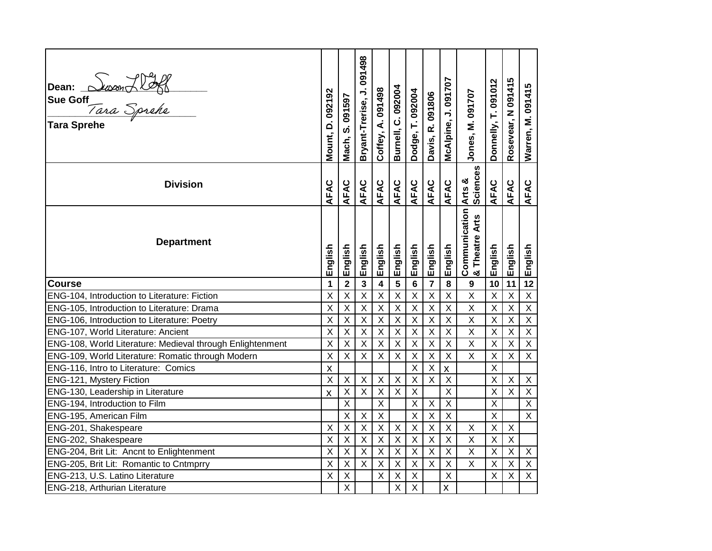| Dean: Suson Holl<br>Sue Goff<br>Tara Sprehe<br>Tara Sprehe                 | Mount, D. 092192                     | Mach, S. 091597           | Bryant-Trerise, J. 091498 | Coffey, A. 091498             | Burnell, C. 092004        | Dodge, T. 092004                            | Davis, R. 091806       | McAlpine, J. 091707           | Jones, M. 091707                       | Donnelly, T. 091012       | Rosevear, N 091415                                     | Warren, M. 091415             |
|----------------------------------------------------------------------------|--------------------------------------|---------------------------|---------------------------|-------------------------------|---------------------------|---------------------------------------------|------------------------|-------------------------------|----------------------------------------|---------------------------|--------------------------------------------------------|-------------------------------|
| <b>Division</b>                                                            | AFAC                                 | AFAC                      | AFAC                      | AFAC                          | AFAC                      | AFAC                                        | AFAC                   | AFAC                          | <b>Sciences</b><br>Arts &              | AFAC                      | AFAC                                                   | AFAC                          |
| <b>Department</b>                                                          | English                              | English                   | English                   | English                       | English                   | English                                     | English                | English                       | <b>Communication</b><br>& Theatre Arts | English                   | English                                                | English                       |
| <b>Course</b>                                                              | 1                                    | $\overline{2}$            | $\overline{\mathbf{3}}$   | $\overline{\mathbf{4}}$       | $\overline{\mathbf{5}}$   | $6\phantom{a}$                              | $\overline{7}$         | 8                             | 9                                      | 10                        | $\overline{11}$                                        | 12                            |
| ENG-104, Introduction to Literature: Fiction                               | X                                    | X                         | $\overline{X}$            | $\mathsf X$                   | $\sf X$                   | $\mathsf X$                                 | $\sf X$                | $\mathsf X$                   | $\overline{\mathsf{x}}$                | $\sf X$                   | $\sf X$                                                | $\mathsf X$                   |
| ENG-105, Introduction to Literature: Drama                                 | X                                    | $\overline{\mathsf{x}}$   | $\overline{\mathsf{x}}$   | $\overline{X}$                | $\overline{X}$            | $\overline{X}$                              | $\sf X$                | $\overline{X}$                | $\overline{\mathsf{x}}$                | $\overline{X}$            | $\overline{X}$                                         | $\overline{\mathsf{X}}$       |
| ENG-106, Introduction to Literature: Poetry                                | X                                    | X                         | $\sf X$                   | $\sf X$                       | $\sf X$                   | $\boldsymbol{\mathsf{X}}$                   | $\sf X$                | $\sf X$                       | X                                      | $\sf X$                   | $\sf X$                                                | $\overline{X}$                |
| ENG-107, World Literature: Ancient                                         | $\overline{\mathsf{x}}$              | $\overline{\mathsf{x}}$   | $\overline{\mathsf{x}}$   | $\overline{X}$                | $\overline{X}$            | $\overline{X}$                              | X                      | $\overline{X}$                | $\overline{\mathsf{x}}$                | $\overline{X}$            | $\overline{X}$                                         | $\overline{\mathsf{X}}$       |
| ENG-108, World Literature: Medieval through Enlightenment                  | X                                    | X                         | $\sf X$                   | $\sf X$                       | $\sf X$                   | $\mathsf X$                                 | $\sf X$                | $\sf X$                       | X                                      | $\sf X$                   | $\sf X$                                                | $\overline{X}$                |
| ENG-109, World Literature: Romatic through Modern                          | $\sf X$<br>$\boldsymbol{\mathsf{X}}$ | X                         | $\sf X$                   | $\mathsf X$                   | $\sf X$                   | $\mathsf X$                                 | $\sf X$                | $\mathsf X$                   | X                                      | $\sf X$                   | $\sf X$                                                | $\overline{X}$                |
| ENG-116, Intro to Literature: Comics                                       |                                      |                           |                           |                               |                           | $\overline{X}$                              | $\sf X$                | $\pmb{\mathsf{X}}$            |                                        | $\overline{X}$            |                                                        |                               |
| ENG-121, Mystery Fiction                                                   |                                      | X                         | $\sf X$                   | $\sf X$                       | $\sf X$                   | $\sf X$                                     | $\sf X$                | $\mathsf X$                   |                                        | $\sf X$                   | $\mathsf X$                                            | $\boldsymbol{\mathsf{X}}$     |
| ENG-130, Leadership in Literature                                          |                                      | $\overline{\mathsf{x}}$   | $\overline{X}$            | $\mathsf X$                   | $\overline{X}$            | $\overline{X}$                              |                        | $\overline{X}$                |                                        | $\sf X$                   | $\overline{X}$                                         | $\overline{X}$                |
| ENG-194, Introduction to Film                                              |                                      | X                         |                           | $\sf X$                       |                           | $\mathsf X$                                 | $\sf X$                | $\mathsf X$                   |                                        | $\sf X$                   |                                                        | $\overline{X}$                |
| ENG-195, American Film                                                     |                                      | $\sf X$                   | $\sf X$                   | $\mathsf X$                   |                           | $\mathsf X$                                 | $\sf X$                | $\overline{X}$                |                                        | $\sf X$                   |                                                        | $\overline{X}$                |
| ENG-201, Shakespeare                                                       | X                                    | $\sf X$<br>$\overline{X}$ | $\sf X$<br>$\overline{X}$ | $\mathsf X$<br>$\overline{X}$ | $\sf X$<br>$\overline{X}$ | $\mathsf X$<br>$\overline{X}$               | $\sf X$<br>$\mathsf X$ | $\mathsf X$<br>$\overline{X}$ | X<br>$\overline{\mathsf{x}}$           | $\sf X$<br>$\overline{X}$ | $\boldsymbol{\mathsf{X}}$<br>$\boldsymbol{\mathsf{X}}$ |                               |
| ENG-202, Shakespeare                                                       |                                      |                           |                           |                               |                           |                                             |                        |                               |                                        |                           |                                                        |                               |
| ENG-204, Brit Lit: Ancnt to Enlightenment                                  | $\sf X$                              |                           |                           |                               |                           |                                             |                        |                               |                                        |                           |                                                        |                               |
|                                                                            | X                                    | $\sf X$                   | $\sf X$                   | $\mathsf X$                   | $\sf X$                   | $\mathsf X$                                 | $\sf X$                | $\mathsf X$                   | $\sf X$                                | $\sf X$                   | $\mathsf X$                                            | $\mathsf X$                   |
| ENG-205, Brit Lit: Romantic to Cntmprry<br>ENG-213, U.S. Latino Literature | X<br>$\sf X$                         | $\overline{X}$<br>$\sf X$ | $\overline{X}$            | $\overline{X}$<br>$\sf X$     | $\sf X$<br>$\sf X$        | $\overline{X}$<br>$\boldsymbol{\mathsf{X}}$ | $\overline{X}$         | $\overline{X}$<br>$\mathsf X$ | $\overline{\mathsf{x}}$                | $\overline{X}$<br>$\sf X$ | $\overline{X}$<br>$\sf X$                              | $\overline{X}$<br>$\mathsf X$ |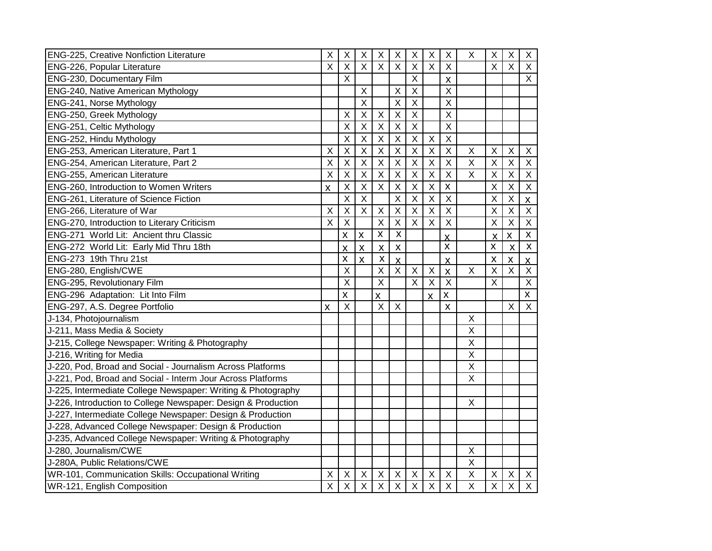| <b>ENG-225, Creative Nonfiction Literature</b>                | X                       | X                         | X                       | X                         | $\sf X$                 | Χ                       | $\sf X$                   | X                         | $\mathsf X$               | $\sf X$                   | X                         | X                         |
|---------------------------------------------------------------|-------------------------|---------------------------|-------------------------|---------------------------|-------------------------|-------------------------|---------------------------|---------------------------|---------------------------|---------------------------|---------------------------|---------------------------|
| ENG-226, Popular Literature                                   |                         | $\sf X$                   | $\sf X$                 | $\mathsf X$               | $\sf X$                 | X                       | $\sf X$                   | $\mathsf X$               |                           | $\sf X$                   | $\boldsymbol{\mathsf{X}}$ | $\sf X$                   |
| ENG-230, Documentary Film                                     |                         | $\sf X$                   |                         |                           |                         | X                       |                           | $\pmb{\mathsf{X}}$        |                           |                           |                           | X                         |
| ENG-240, Native American Mythology                            |                         |                           | $\sf X$                 |                           | $\sf X$                 | X                       |                           | $\sf X$                   |                           |                           |                           |                           |
| ENG-241, Norse Mythology                                      |                         |                           | $\sf X$                 |                           | $\sf X$                 | X                       |                           | $\sf X$                   |                           |                           |                           |                           |
| ENG-250, Greek Mythology                                      |                         | $\sf X$                   | $\sf X$                 | $\mathsf X$               | $\sf X$                 | $\overline{X}$          |                           | $\overline{X}$            |                           |                           |                           |                           |
| ENG-251, Celtic Mythology                                     |                         | $\overline{\mathsf{X}}$   | $\sf X$                 | $\mathsf X$               | $\overline{X}$          | $\overline{\mathsf{X}}$ |                           | $\overline{X}$            |                           |                           |                           |                           |
| ENG-252, Hindu Mythology                                      |                         | $\sf X$                   | $\sf X$                 | $\mathsf X$               | $\sf X$                 | X                       | $\sf X$                   | $\mathsf X$               |                           |                           |                           |                           |
| ENG-253, American Literature, Part 1                          | $\sf X$                 | X                         | $\mathsf X$             | $\mathsf X$               | $\sf X$                 | X                       | $\sf X$                   | $\mathsf X$               | $\boldsymbol{\mathsf{X}}$ | X                         | $\boldsymbol{\mathsf{X}}$ | X                         |
| ENG-254, American Literature, Part 2                          | X                       | X                         | $\pmb{\times}$          | X                         | X                       | X                       | $\sf X$                   | $\boldsymbol{\mathsf{X}}$ | $\mathsf{X}$              | X                         | X                         | X                         |
| ENG-255, American Literature                                  | X                       | X                         | $\times$                | X                         | $\sf X$                 | X                       | X                         | $\boldsymbol{\mathsf{X}}$ | $\boldsymbol{\mathsf{X}}$ | X                         | $\times$                  | $\mathsf X$               |
| ENG-260, Introduction to Women Writers                        | $\mathsf{\overline{X}}$ | X                         | X                       | X                         | $\sf X$                 | X                       | $\sf X$                   | $\pmb{\mathsf{X}}$        |                           | $\sf X$                   | $\mathsf X$               | $\mathsf X$               |
| ENG-261, Literature of Science Fiction                        |                         | X                         | X                       |                           | X                       | X                       | X                         | $\boldsymbol{\mathsf{X}}$ |                           | X                         | $\pmb{\times}$            | $\pmb{\times}$            |
| ENG-266, Literature of War                                    | X                       | X                         | X                       | X                         | X                       | X                       | $\pmb{\mathsf{X}}$        | X                         |                           | X                         | $\pmb{\times}$            | X                         |
| ENG-270, Introduction to Literary Criticism                   | X                       | X                         |                         | X                         | X                       | X                       | X                         | $\boldsymbol{\mathsf{X}}$ |                           | $\sf X$                   | X                         | X                         |
| ENG-271 World Lit: Ancient thru Classic                       |                         | X                         | $\mathsf{x}$            | $\pmb{\mathsf{X}}$        | X                       |                         |                           | X                         |                           | X                         | X                         | $\pmb{\mathsf{X}}$        |
| ENG-272 World Lit: Early Mid Thru 18th                        |                         | X                         | $\pmb{\mathsf{X}}$      | $\pmb{\mathsf{X}}$        | $\pmb{\mathsf{X}}$      |                         |                           | $\pmb{\mathsf{X}}$        |                           | $\pmb{\mathsf{X}}$        | $\pmb{\mathsf{X}}$        | $\pmb{\mathsf{X}}$        |
| ENG-273 19th Thru 21st                                        |                         | X                         | $\mathsf{\overline{X}}$ | $\mathsf{\overline{X}}$   | $\overline{\mathsf{x}}$ |                         |                           | $\overline{\mathsf{x}}$   |                           | $\mathsf{\overline{X}}$   | $\mathsf{\overline{X}}$   | $\overline{\mathsf{x}}$   |
| ENG-280, English/CWE                                          |                         | X                         |                         | X                         | X                       | X                       | X                         | $\pmb{\mathsf{X}}$        | X                         | $\sf X$                   | $\boldsymbol{\mathsf{X}}$ | X                         |
| ENG-295, Revolutionary Film                                   |                         | $\boldsymbol{\mathsf{X}}$ |                         | $\overline{\mathsf{x}}$   |                         | X                       | $\boldsymbol{\mathsf{X}}$ | $\boldsymbol{\mathsf{X}}$ |                           | $\boldsymbol{\mathsf{X}}$ |                           | $\mathsf X$               |
| ENG-296 Adaptation: Lit Into Film                             |                         | $\pmb{\mathsf{X}}$        |                         | $\boldsymbol{\mathsf{X}}$ |                         |                         | $\mathsf{x}$              | X                         |                           |                           |                           | $\mathsf{x}$              |
| ENG-297, A.S. Degree Portfolio                                | X                       | X                         |                         | X                         | $\times$                |                         |                           | $\pmb{\mathsf{X}}$        |                           |                           | $\pmb{\times}$            | $\boldsymbol{\mathsf{X}}$ |
| J-134, Photojournalism                                        |                         |                           |                         |                           |                         |                         |                           |                           | $\pmb{\times}$            |                           |                           |                           |
| J-211, Mass Media & Society                                   |                         |                           |                         |                           |                         |                         |                           |                           | $\mathsf X$               |                           |                           |                           |
| J-215, College Newspaper: Writing & Photography               |                         |                           |                         |                           |                         |                         |                           |                           | $\mathsf X$               |                           |                           |                           |
| J-216, Writing for Media                                      |                         |                           |                         |                           |                         |                         |                           |                           | $\sf X$                   |                           |                           |                           |
| J-220, Pod, Broad and Social - Journalism Across Platforms    |                         |                           |                         |                           |                         |                         |                           |                           | $\mathsf X$               |                           |                           |                           |
| J-221, Pod, Broad and Social - Interm Jour Across Platforms   |                         |                           |                         |                           |                         |                         |                           |                           | X                         |                           |                           |                           |
| J-225, Intermediate College Newspaper: Writing & Photography  |                         |                           |                         |                           |                         |                         |                           |                           |                           |                           |                           |                           |
| J-226, Introduction to College Newspaper: Design & Production |                         |                           |                         |                           |                         |                         |                           |                           | X                         |                           |                           |                           |
| J-227, Intermediate College Newspaper: Design & Production    |                         |                           |                         |                           |                         |                         |                           |                           |                           |                           |                           |                           |
| J-228, Advanced College Newspaper: Design & Production        |                         |                           |                         |                           |                         |                         |                           |                           |                           |                           |                           |                           |
| J-235, Advanced College Newspaper: Writing & Photography      |                         |                           |                         |                           |                         |                         |                           |                           |                           |                           |                           |                           |
| J-280, Journalism/CWE                                         |                         |                           |                         |                           |                         |                         |                           |                           | $\boldsymbol{\mathsf{X}}$ |                           |                           |                           |
| J-280A, Public Relations/CWE                                  |                         |                           |                         |                           |                         |                         |                           |                           | $\overline{\mathsf{x}}$   |                           |                           |                           |
| WR-101, Communication Skills: Occupational Writing            | $\sf X$                 | X                         | $\sf X$                 | X                         | $\sf X$                 | X                       | $\sf X$                   | $\mathsf X$               | $\sf X$                   | $\sf X$                   | $\sf X$                   | X                         |
| WR-121, English Composition                                   |                         |                           | $\sf X$                 | X                         | $\sf X$                 | X                       | $\sf X$                   | $\pmb{\times}$            | $\overline{\mathsf{x}}$   | $\sf X$                   | $\boldsymbol{\mathsf{X}}$ | X                         |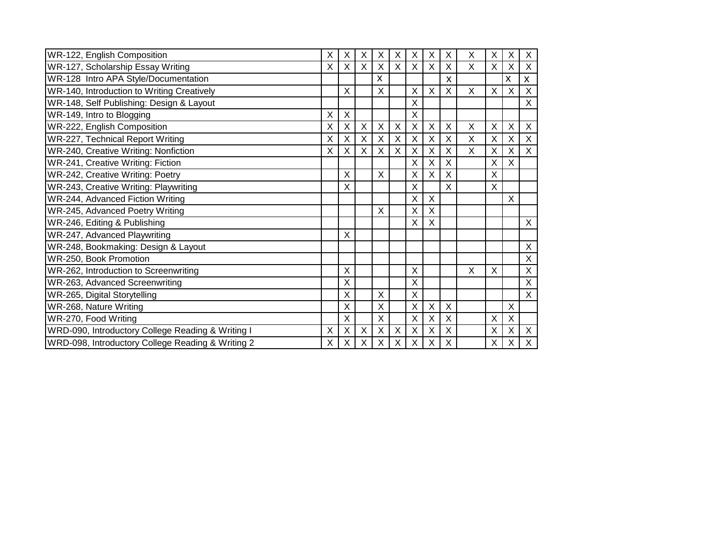| WR-122, English Composition                       | X | X | X | Х | Χ | Χ | X           | X           | X | Χ | X | X |
|---------------------------------------------------|---|---|---|---|---|---|-------------|-------------|---|---|---|---|
| WR-127, Scholarship Essay Writing                 |   | X | X | Χ | X | X | X           | X           | X | X | X | X |
| WR-128 Intro APA Style/Documentation              |   |   |   | X |   |   |             | X           |   |   | X | X |
| WR-140, Introduction to Writing Creatively        |   | X |   | X |   | X | X           | X           | X | X | X | X |
| WR-148, Self Publishing: Design & Layout          |   |   |   |   |   | Χ |             |             |   |   |   | X |
| WR-149, Intro to Blogging                         | Χ | X |   |   |   | X |             |             |   |   |   |   |
| WR-222, English Composition                       |   | Χ | X | X | X | X | X           | X           | X | X | X | X |
| WR-227, Technical Report Writing                  |   | X | X | X | X | X | X           | X           | X | X | X | X |
| WR-240, Creative Writing: Nonfiction              |   | Χ | X | X | X | X | X           | X           | X | X | X | X |
| WR-241, Creative Writing: Fiction                 |   |   |   |   |   | X | Χ           | X           |   | X | X |   |
| WR-242, Creative Writing: Poetry                  |   | X |   | X |   | X | X           | X           |   | X |   |   |
| WR-243, Creative Writing: Playwriting             |   | X |   |   |   | X |             | X           |   | X |   |   |
| WR-244, Advanced Fiction Writing                  |   |   |   |   |   | X | X           |             |   |   | X |   |
| WR-245, Advanced Poetry Writing                   |   |   |   | X |   | х | X           |             |   |   |   |   |
| WR-246, Editing & Publishing                      |   |   |   |   |   | X | X           |             |   |   |   | X |
| WR-247, Advanced Playwriting                      |   | X |   |   |   |   |             |             |   |   |   |   |
| WR-248, Bookmaking: Design & Layout               |   |   |   |   |   |   |             |             |   |   |   | X |
| WR-250, Book Promotion                            |   |   |   |   |   |   |             |             |   |   |   | X |
| WR-262, Introduction to Screenwriting             |   | X |   |   |   | X |             |             | X | X |   | X |
| WR-263, Advanced Screenwriting                    |   | Χ |   |   |   | X |             |             |   |   |   | X |
| WR-265, Digital Storytelling                      |   | X |   | X |   | X |             |             |   |   |   | X |
| WR-268, Nature Writing                            |   | X |   | Х |   | Χ | $\mathsf X$ | X           |   |   | X |   |
| WR-270, Food Writing                              |   | X |   | Χ |   | X | X           | $\mathsf X$ |   | X | X |   |
| WRD-090, Introductory College Reading & Writing I | X | X | X | X | X | X | X           | X           |   | X | X | X |
| WRD-098, Introductory College Reading & Writing 2 |   | X | X | Χ | X | X | X           | X           |   | X | X | X |